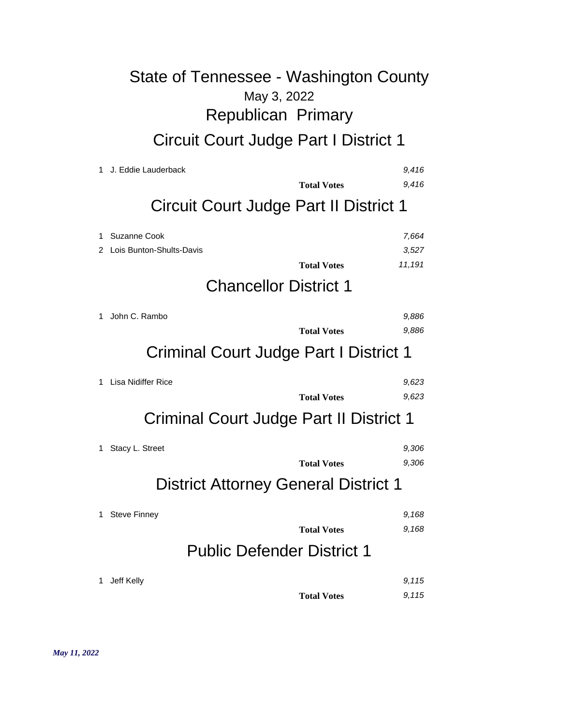# May 3, 2022 State of Tennessee - Washington County Republican Primary Circuit Court Judge Part I District 1

| 1       | J. Eddie Lauderback<br><b>Total Votes</b>                                                  | 9,416<br>9.416           |
|---------|--------------------------------------------------------------------------------------------|--------------------------|
|         | Circuit Court Judge Part II District 1                                                     |                          |
| 1.<br>2 | Suzanne Cook<br>Lois Bunton-Shults-Davis<br><b>Total Votes</b>                             | 7,664<br>3,527<br>11,191 |
|         | <b>Chancellor District 1</b>                                                               |                          |
| 1       | John C. Rambo<br><b>Total Votes</b><br>Criminal Court Judge Part I District 1              | 9,886<br>9,886           |
| 1.      | Lisa Nidiffer Rice<br><b>Total Votes</b><br><b>Criminal Court Judge Part II District 1</b> | 9,623<br>9,623           |
| 1.      | Stacy L. Street<br><b>Total Votes</b><br><b>District Attorney General District 1</b>       | 9,306<br>9,306           |
| 1       | <b>Steve Finney</b><br><b>Total Votes</b><br><b>Public Defender District 1</b>             | 9.168<br>9.168           |
| 1       | Jeff Kelly<br><b>Total Votes</b>                                                           | 9.115<br>9,115           |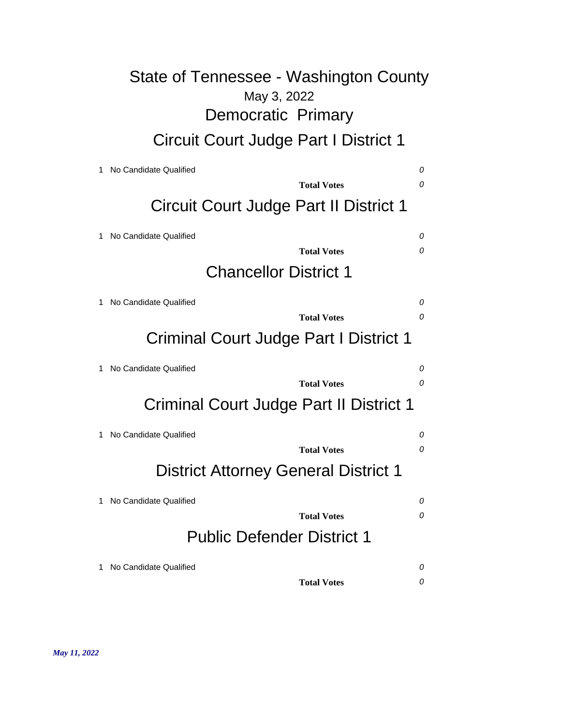# May 3, 2022 State of Tennessee - Washington County Democratic Primary Circuit Court Judge Part I District 1

| No Candidate Qualified                      | 0             |  |
|---------------------------------------------|---------------|--|
| <b>Total Votes</b>                          | 0             |  |
| Circuit Court Judge Part II District 1      |               |  |
| No Candidate Qualified                      | 0<br>$\Omega$ |  |
| <b>Total Votes</b>                          |               |  |
| <b>Chancellor District 1</b>                |               |  |
| No Candidate Qualified                      | 0             |  |
| <b>Total Votes</b>                          | $\Omega$      |  |
| Criminal Court Judge Part I District 1      |               |  |
| No Candidate Qualified                      | 0             |  |
| <b>Total Votes</b>                          | 0             |  |
| Criminal Court Judge Part II District 1     |               |  |
| No Candidate Qualified                      | 0             |  |
| <b>Total Votes</b>                          | 0             |  |
| <b>District Attorney General District 1</b> |               |  |
| No Candidate Qualified                      | 0             |  |
| <b>Total Votes</b>                          | 0             |  |
| <b>Public Defender District 1</b>           |               |  |
| No Candidate Qualified                      | 0             |  |
| <b>Total Votes</b>                          | 0             |  |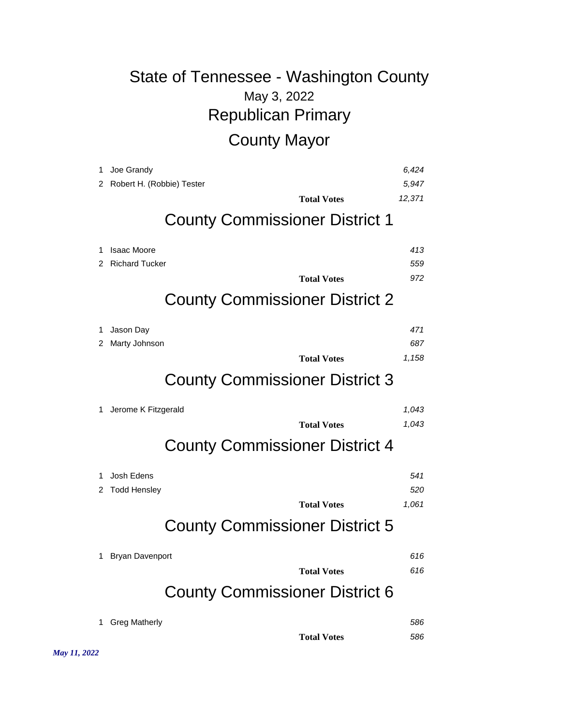# May 3, 2022 State of Tennessee - Washington County Republican Primary County Mayor

| 1<br>2 | Joe Grandy<br>Robert H. (Robbie) Tester |                                       | 6,424<br>5.947 |
|--------|-----------------------------------------|---------------------------------------|----------------|
|        |                                         | <b>Total Votes</b>                    | 12,371         |
|        |                                         | <b>County Commissioner District 1</b> |                |
| 1      | <b>Isaac Moore</b>                      |                                       | 413            |
| 2      | <b>Richard Tucker</b>                   |                                       | 559            |
|        |                                         | <b>Total Votes</b>                    | 972            |
|        |                                         | <b>County Commissioner District 2</b> |                |
| 1      | Jason Day                               |                                       | 471            |
| 2      | Marty Johnson                           |                                       | 687            |
|        |                                         | <b>Total Votes</b>                    | 1,158          |
|        |                                         | <b>County Commissioner District 3</b> |                |
| 1      | Jerome K Fitzgerald                     |                                       | 1,043          |
|        |                                         | <b>Total Votes</b>                    | 1,043          |
|        |                                         | <b>County Commissioner District 4</b> |                |
| 1      | Josh Edens                              |                                       | 541            |
| 2      | <b>Todd Hensley</b>                     |                                       | 520            |
|        |                                         | <b>Total Votes</b>                    | 1,061          |
|        |                                         | <b>County Commissioner District 5</b> |                |
| 1      | <b>Bryan Davenport</b>                  |                                       | 616            |
|        |                                         | <b>Total Votes</b>                    | 616            |
|        |                                         | <b>County Commissioner District 6</b> |                |
| 1      | <b>Greg Matherly</b>                    |                                       | 586            |
|        |                                         | <b>Total Votes</b>                    | 586            |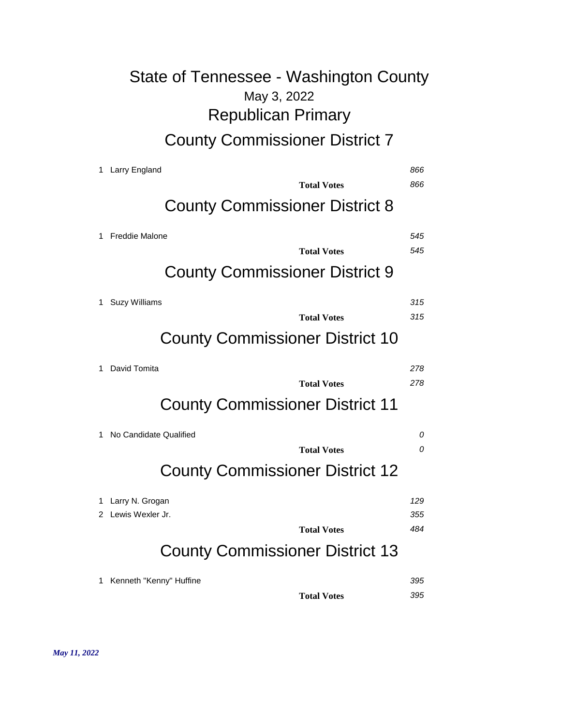# May 3, 2022 State of Tennessee - Washington County Republican Primary County Commissioner District 7

| 1 | <b>Larry England</b>                   | 866 |
|---|----------------------------------------|-----|
|   | <b>Total Votes</b>                     | 866 |
|   | <b>County Commissioner District 8</b>  |     |
| 1 | <b>Freddie Malone</b>                  | 545 |
|   | <b>Total Votes</b>                     | 545 |
|   | <b>County Commissioner District 9</b>  |     |
| 1 | <b>Suzy Williams</b>                   | 315 |
|   | <b>Total Votes</b>                     | 315 |
|   | <b>County Commissioner District 10</b> |     |
| 1 | David Tomita                           | 278 |
|   | <b>Total Votes</b>                     | 278 |
|   | <b>County Commissioner District 11</b> |     |
| 1 | No Candidate Qualified                 | 0   |
|   | <b>Total Votes</b>                     | 0   |
|   | <b>County Commissioner District 12</b> |     |
| 1 | Larry N. Grogan                        | 129 |
| 2 | Lewis Wexler Jr.                       | 355 |
|   | <b>Total Votes</b>                     | 484 |
|   | <b>County Commissioner District 13</b> |     |
| 1 | Kenneth "Kenny" Huffine                | 395 |
|   | <b>Total Votes</b>                     | 395 |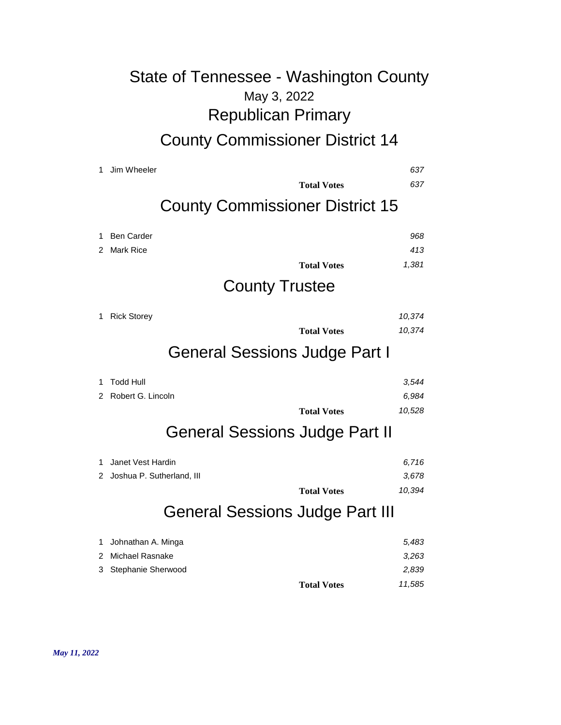## May 3, 2022 State of Tennessee - Washington County Republican Primary County Commissioner District 14

1 Jim Wheeler *637* **Total Votes** *637* County Commissioner District 15 1 Ben Carder *968* 2 Mark Rice *413* **Total Votes** *1,381* County Trustee 1 Rick Storey *10,374* **Total Votes** *10,374* General Sessions Judge Part I 1 Todd Hull *3,544* 2 Robert G. Lincoln *6,984* **Total Votes** *10,528* General Sessions Judge Part II 1 Janet Vest Hardin *6,716* 2 Joshua P. Sutherland, III *3,678* **Total Votes** *10,394* General Sessions Judge Part III

|                      | <b>Total Votes</b> | 11.585 |
|----------------------|--------------------|--------|
| 3 Stephanie Sherwood |                    | 2.839  |
| 2 Michael Rasnake    |                    | 3,263  |
| 1 Johnathan A. Minga |                    | 5,483  |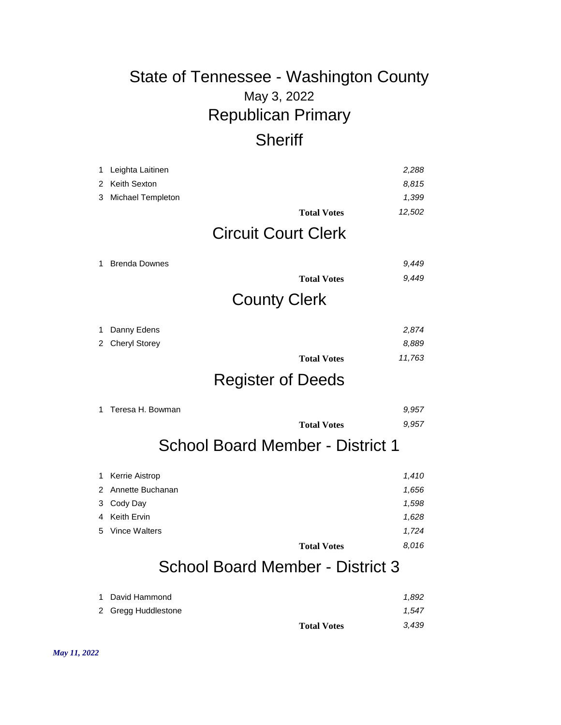## May 3, 2022 State of Tennessee - Washington County Republican Primary **Sheriff**

| 1<br>2 | Leighta Laitinen<br>Keith Sexton        |                    | 2,288<br>8,815 |  |
|--------|-----------------------------------------|--------------------|----------------|--|
| 3      | Michael Templeton                       |                    | 1,399          |  |
|        |                                         | <b>Total Votes</b> | 12,502         |  |
|        | <b>Circuit Court Clerk</b>              |                    |                |  |
| 1      | <b>Brenda Downes</b>                    |                    | 9,449          |  |
|        |                                         | <b>Total Votes</b> | 9.449          |  |
|        | <b>County Clerk</b>                     |                    |                |  |
| 1      | Danny Edens                             |                    | 2,874          |  |
| 2      | <b>Cheryl Storey</b>                    |                    | 8,889          |  |
|        |                                         | <b>Total Votes</b> | 11,763         |  |
|        | <b>Register of Deeds</b>                |                    |                |  |
| 1      | Teresa H. Bowman                        |                    | 9,957          |  |
|        |                                         | <b>Total Votes</b> | 9,957          |  |
|        | <b>School Board Member - District 1</b> |                    |                |  |
| 1      | Kerrie Aistrop                          |                    | 1,410          |  |
| 2      | Annette Buchanan                        |                    | 1,656          |  |
| 3      | Cody Day                                |                    | 1,598          |  |
| 4      | <b>Keith Ervin</b>                      |                    | 1,628          |  |
| 5      | <b>Vince Walters</b>                    |                    | 1,724          |  |
|        |                                         | <b>Total Votes</b> | 8,016          |  |
|        | <b>School Board Member - District 3</b> |                    |                |  |

| 1 David Hammond<br>2 Gregg Huddlestone |                    | 1.892<br>1.547 |
|----------------------------------------|--------------------|----------------|
|                                        | <b>Total Votes</b> | 3,439          |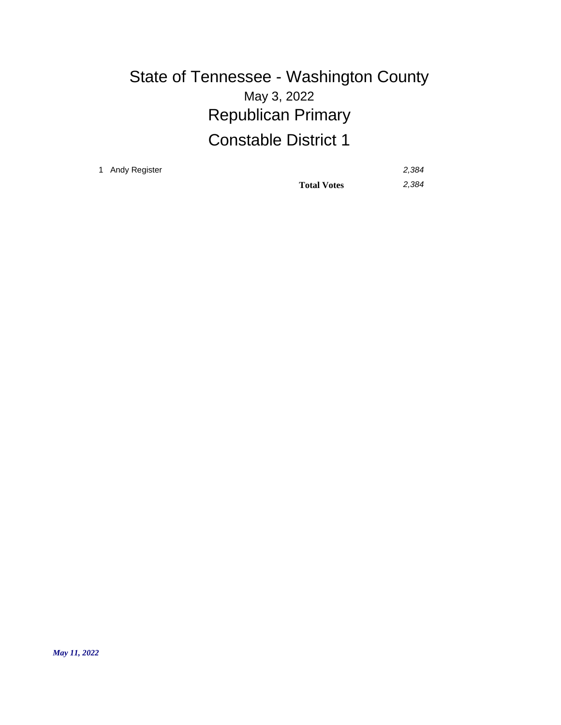## May 3, 2022 State of Tennessee - Washington County Republican Primary Constable District 1

1 Andy Register *2,384*

**Total Votes** *2,384*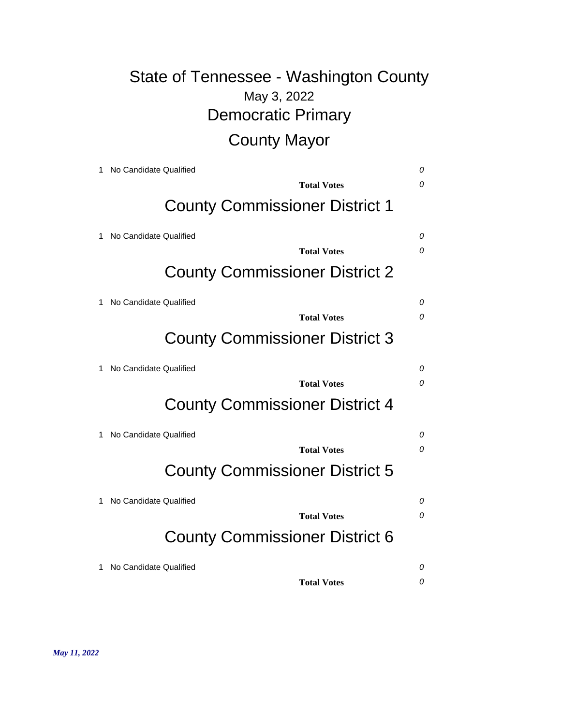# May 3, 2022 State of Tennessee - Washington County Democratic Primary County Mayor

| 1 | No Candidate Qualified                | 0        |
|---|---------------------------------------|----------|
|   | Total Votes                           | $\Omega$ |
|   | <b>County Commissioner District 1</b> |          |
| 1 | No Candidate Qualified                | 0        |
|   | <b>Total Votes</b>                    | 0        |
|   | <b>County Commissioner District 2</b> |          |
|   | No Candidate Qualified                | 0        |
|   | <b>Total Votes</b>                    | 0        |
|   | <b>County Commissioner District 3</b> |          |
| 1 | No Candidate Qualified                | 0        |
|   | <b>Total Votes</b>                    | $\Omega$ |
|   | <b>County Commissioner District 4</b> |          |
|   | No Candidate Qualified                | 0        |
|   | <b>Total Votes</b>                    | 0        |
|   | <b>County Commissioner District 5</b> |          |
|   | No Candidate Qualified                | 0        |
|   | <b>Total Votes</b>                    | 0        |
|   | <b>County Commissioner District 6</b> |          |
|   | No Candidate Qualified                | 0        |
|   | <b>Total Votes</b>                    | 0        |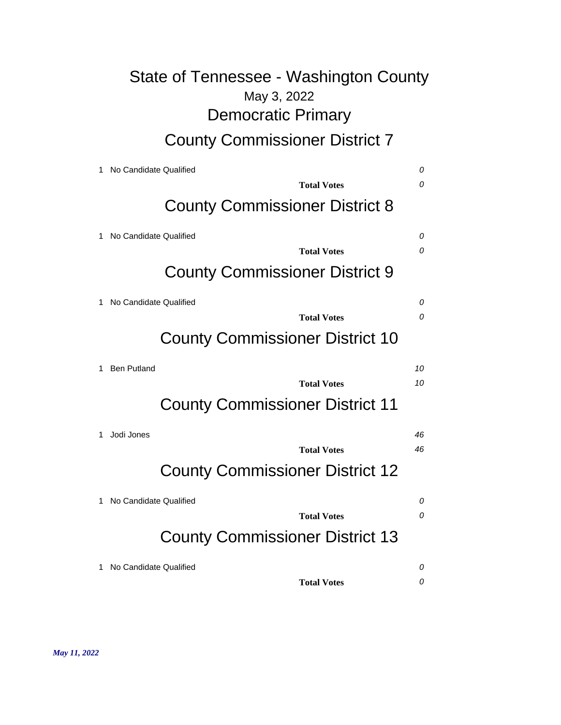# May 3, 2022 State of Tennessee - Washington County Democratic Primary County Commissioner District 7

|   | No Candidate Qualified                 | 0  |
|---|----------------------------------------|----|
|   | <b>Total Votes</b>                     | 0  |
|   | <b>County Commissioner District 8</b>  |    |
|   | No Candidate Qualified                 | 0  |
|   | <b>Total Votes</b>                     | 0  |
|   | <b>County Commissioner District 9</b>  |    |
| 1 | No Candidate Qualified                 | 0  |
|   | <b>Total Votes</b>                     | 0  |
|   | <b>County Commissioner District 10</b> |    |
| 1 | <b>Ben Putland</b>                     | 10 |
|   | <b>Total Votes</b>                     | 10 |
|   | <b>County Commissioner District 11</b> |    |
| 1 | Jodi Jones                             | 46 |
|   | <b>Total Votes</b>                     | 46 |
|   | <b>County Commissioner District 12</b> |    |
|   | No Candidate Qualified                 | 0  |
|   | <b>Total Votes</b>                     | 0  |
|   | <b>County Commissioner District 13</b> |    |
| 1 | No Candidate Qualified                 | 0  |
|   | <b>Total Votes</b>                     | 0  |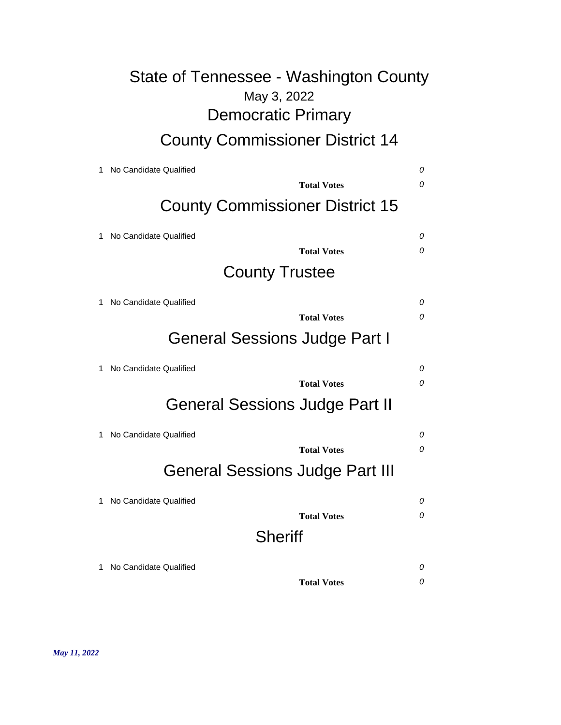# May 3, 2022 State of Tennessee - Washington County Democratic Primary

## County Commissioner District 14

| 1 | No Candidate Qualified                 | 0 |  |
|---|----------------------------------------|---|--|
|   | <b>Total Votes</b>                     | 0 |  |
|   | <b>County Commissioner District 15</b> |   |  |
| 1 | No Candidate Qualified                 | 0 |  |
|   | <b>Total Votes</b>                     | 0 |  |
|   | <b>County Trustee</b>                  |   |  |
| 1 | No Candidate Qualified                 | 0 |  |
|   | <b>Total Votes</b>                     | 0 |  |
|   | General Sessions Judge Part I          |   |  |
| 1 | No Candidate Qualified                 | 0 |  |
|   | <b>Total Votes</b>                     | 0 |  |
|   | <b>General Sessions Judge Part II</b>  |   |  |
| 1 | No Candidate Qualified                 | 0 |  |
|   | <b>Total Votes</b>                     | 0 |  |
|   | <b>General Sessions Judge Part III</b> |   |  |
| 1 | No Candidate Qualified                 | 0 |  |
|   | <b>Total Votes</b>                     | 0 |  |
|   | <b>Sheriff</b>                         |   |  |
| 1 | No Candidate Qualified                 | 0 |  |
|   | <b>Total Votes</b>                     | 0 |  |